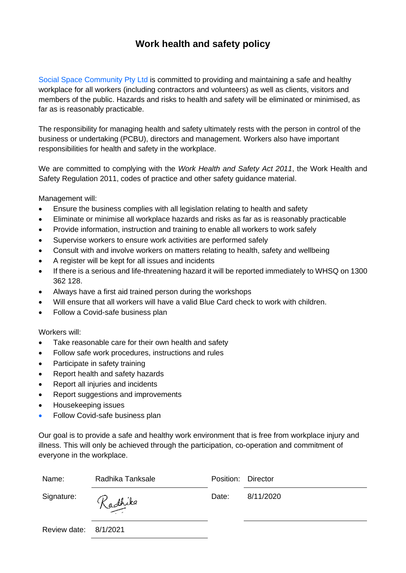## **Work health and safety policy**

Social Space Community Pty Ltd is committed to providing and maintaining a safe and healthy workplace for all workers (including contractors and volunteers) as well as clients, visitors and members of the public. Hazards and risks to health and safety will be eliminated or minimised, as far as is reasonably practicable.

The responsibility for managing health and safety ultimately rests with the person in control of the business or undertaking (PCBU), directors and management. Workers also have important responsibilities for health and safety in the workplace.

We are committed to complying with the *Work Health and Safety Act 2011*, the Work Health and Safety Regulation 2011, codes of practice and other safety guidance material.

Management will:

- Ensure the business complies with all legislation relating to health and safety
- Eliminate or minimise all workplace hazards and risks as far as is reasonably practicable
- Provide information, instruction and training to enable all workers to work safely
- Supervise workers to ensure work activities are performed safely
- Consult with and involve workers on matters relating to health, safety and wellbeing
- A register will be kept for all issues and incidents
- If there is a serious and life-threatening hazard it will be reported immediately to WHSQ on 1300 362 128.
- Always have a first aid trained person during the workshops
- Will ensure that all workers will have a valid Blue Card check to work with children.
- Follow a Covid-safe business plan

Workers will:

- Take reasonable care for their own health and safety
- Follow safe work procedures, instructions and rules
- Participate in safety training
- Report health and safety hazards
- Report all injuries and incidents
- Report suggestions and improvements
- Housekeeping issues
- Follow Covid-safe business plan

Our goal is to provide a safe and healthy work environment that is free from workplace injury and illness. This will only be achieved through the participation, co-operation and commitment of everyone in the workplace.

| Name:                 | Radhika Tanksale | Position: Director |           |
|-----------------------|------------------|--------------------|-----------|
| Signature:            | Radhika          | Date:              | 8/11/2020 |
| Review date: 8/1/2021 |                  |                    |           |